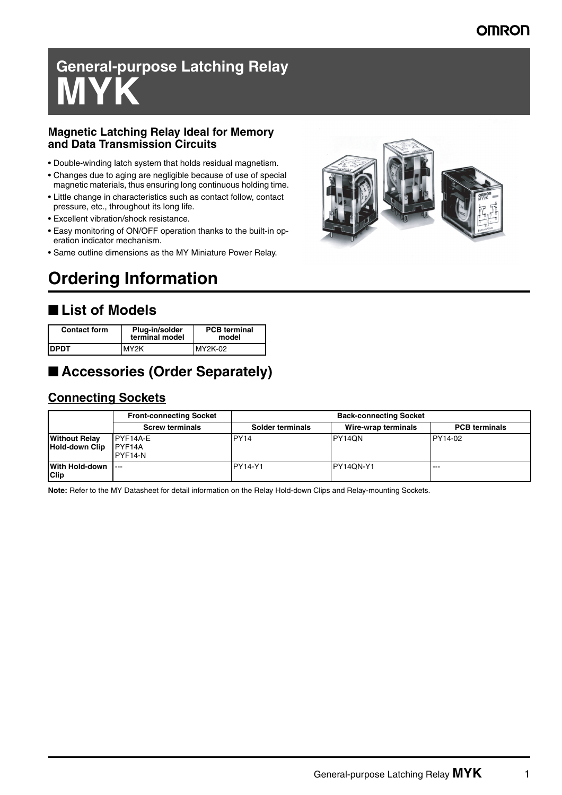#### **OMRON**

# **General-purpose Latching Relay MYK**

#### **Magnetic Latching Relay Ideal for Memory and Data Transmission Circuits**

- Double-winding latch system that holds residual magnetism.
- Changes due to aging are negligible because of use of special magnetic materials, thus ensuring long continuous holding time.
- Little change in characteristics such as contact follow, contact pressure, etc., throughout its long life.
- Excellent vibration/shock resistance.
- Easy monitoring of ON/OFF operation thanks to the built-in operation indicator mechanism.
- Same outline dimensions as the MY Miniature Power Relay.

## **Ordering Information**

#### ■ **List of Models**

| <b>Contact form</b> | Plug-in/solder<br>terminal model | <b>PCB</b> terminal<br>model |
|---------------------|----------------------------------|------------------------------|
| <b>IDPDT</b>        | MY2K                             | MY2K-02                      |

#### ■ **Accessories (Order Separately)**

#### **Connecting Sockets**

|                                        | <b>Front-connecting Socket</b> | <b>Back-connecting Socket</b> |                     |                      |  |  |
|----------------------------------------|--------------------------------|-------------------------------|---------------------|----------------------|--|--|
|                                        | <b>Screw terminals</b>         | Solder terminals              | Wire-wrap terminals | <b>PCB</b> terminals |  |  |
| <b>Without Relay</b><br>Hold-down Clip | PYF14A-E<br>PYF14A<br>PYF14-N  | <b>PY14</b>                   | PY14QN              | PY14-02              |  |  |
| With Hold-down  ---<br><b>Clip</b>     |                                | <b>PY14-Y1</b>                | IPY14QN-Y1          | $- - -$              |  |  |

**Note:** Refer to the MY Datasheet for detail information on the Relay Hold-down Clips and Relay-mounting Sockets.

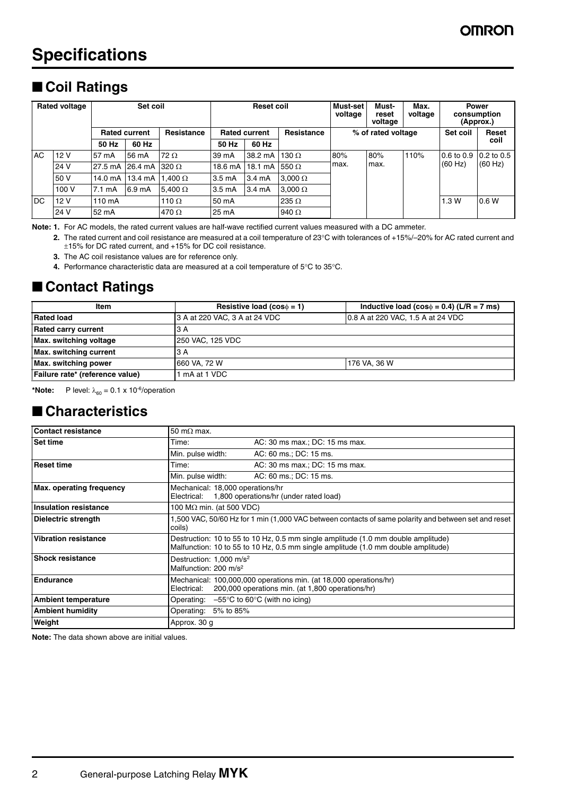## **Specifications**

### ■ **Coil Ratings**

| <b>Rated voltage</b><br>Set coil |       | <b>Reset coil</b> |                                    | Must-set<br>voltage | Must-<br>reset<br>voltage | Max.<br>voltage  | <b>Power</b><br>consumption<br>(Approx.) |       |      |      |                |              |
|----------------------------------|-------|-------------------|------------------------------------|---------------------|---------------------------|------------------|------------------------------------------|-------|------|------|----------------|--------------|
| <b>Rated current</b>             |       | Resistance        | Resistance<br><b>Rated current</b> |                     | % of rated voltage        |                  | Set coil                                 | Reset |      |      |                |              |
|                                  |       | 50 Hz             | 60 Hz                              |                     | 50 Hz                     | 60 Hz            |                                          |       |      |      |                | coil         |
| <b>AC</b>                        | 12V   | 57 mA             | 56 mA                              | $72 \Omega$         | 39 mA                     | 38.2 mA          | 130 $\Omega$                             | 80%   | 80%  | 110% | $0.6$ to $0.9$ | $0.2$ to 0.5 |
|                                  | 24 V  | 27.5 mA           | 26.4 mA                            | 320 $\Omega$        |                           | 18.6 mA 118.1 mA | 550 $\Omega$                             | max.  | max. |      | (60 Hz)        | (60 Hz)      |
|                                  | 50 V  | 14.0 mA           | $13.4 \text{ mA}$                  | $1.400\,\Omega$     | 3.5 <sub>m</sub> A        | $3.4 \text{ mA}$ | $3.000 \Omega$                           |       |      |      |                |              |
|                                  | 100 V | 7.1 mA            | 6.9 mA                             | 5.400 $\Omega$      | 3.5 <sub>m</sub> A        | 3.4 mA           | $3.000 \Omega$                           |       |      |      |                |              |
| <b>IDC</b>                       | 12V   | 110 mA            |                                    | 110 $\Omega$        | 50 mA                     |                  | 235 $\Omega$                             |       |      |      | 1.3W           | 0.6 W        |
|                                  | 24 V  | 52 mA             |                                    | 470 $\Omega$        | 25 mA                     |                  | 940 $\Omega$                             |       |      |      |                |              |

**Note: 1.** For AC models, the rated current values are half-wave rectified current values measured with a DC ammeter.

**2.** The rated current and coil resistance are measured at a coil temperature of 23°C with tolerances of +15%/–20% for AC rated current and ±15% for DC rated current, and +15% for DC coil resistance.

**3.** The AC coil resistance values are for reference only.

**4.** Performance characteristic data are measured at a coil temperature of 5°C to 35°C.

#### ■ **Contact Ratings**

| Item                            | Resistive load ( $cos\phi = 1$ ) | Inductive load (cos $\phi$ = 0.4) (L/R = 7 ms) |  |  |  |
|---------------------------------|----------------------------------|------------------------------------------------|--|--|--|
| <b>Rated load</b>               | 3 A at 220 VAC, 3 A at 24 VDC    | 0.8 A at 220 VAC, 1.5 A at 24 VDC              |  |  |  |
| <b>Rated carry current</b>      | 13 A                             |                                                |  |  |  |
| Max. switching voltage          | 250 VAC, 125 VDC                 |                                                |  |  |  |
| <b>Max. switching current</b>   | 13 A                             |                                                |  |  |  |
| Max. switching power            | 660 VA. 72 W                     | 176 VA. 36 W                                   |  |  |  |
| Failure rate* (reference value) | 1 mA at 1 VDC                    |                                                |  |  |  |

\***Note:** P level:  $\lambda_{60} = 0.1 \times 10^{-6}$ /operation

#### ■ **Characteristics**

| <b>Contact resistance</b>   | 50 m $\Omega$ max.                                                                                                                                                     |                                |  |  |
|-----------------------------|------------------------------------------------------------------------------------------------------------------------------------------------------------------------|--------------------------------|--|--|
| <b>Set time</b>             | Time:                                                                                                                                                                  | AC: 30 ms max.; DC: 15 ms max. |  |  |
|                             | Min. pulse width:                                                                                                                                                      | AC: 60 ms.; DC: 15 ms.         |  |  |
| <b>Reset time</b>           | Time:                                                                                                                                                                  | AC: 30 ms max.; DC: 15 ms max. |  |  |
|                             | Min. pulse width:                                                                                                                                                      | AC: 60 ms.; DC: 15 ms.         |  |  |
| Max. operating frequency    | Mechanical: 18,000 operations/hr<br>Electrical: 1,800 operations/hr (under rated load)                                                                                 |                                |  |  |
| Insulation resistance       | 100 $M\Omega$ min. (at 500 VDC)                                                                                                                                        |                                |  |  |
| Dielectric strength         | 1,500 VAC, 50/60 Hz for 1 min (1,000 VAC between contacts of same polarity and between set and reset<br>coils)                                                         |                                |  |  |
| <b>Vibration resistance</b> | Destruction: 10 to 55 to 10 Hz, 0.5 mm single amplitude (1.0 mm double amplitude)<br>Malfunction: 10 to 55 to 10 Hz, 0.5 mm single amplitude (1.0 mm double amplitude) |                                |  |  |
| <b>Shock resistance</b>     | Destruction: 1,000 m/s <sup>2</sup><br>Malfunction: 200 m/s <sup>2</sup>                                                                                               |                                |  |  |
| <b>Endurance</b>            | Mechanical: 100,000,000 operations min. (at 18,000 operations/hr)<br>200,000 operations min. (at 1,800 operations/hr)<br>Electrical:                                   |                                |  |  |
| <b>Ambient temperature</b>  | Operating: $-55^{\circ}$ C to 60 $^{\circ}$ C (with no icing)                                                                                                          |                                |  |  |
| <b>Ambient humidity</b>     | Operating:<br>5% to 85%                                                                                                                                                |                                |  |  |
| Weight                      | Approx. 30 g                                                                                                                                                           |                                |  |  |

**Note:** The data shown above are initial values.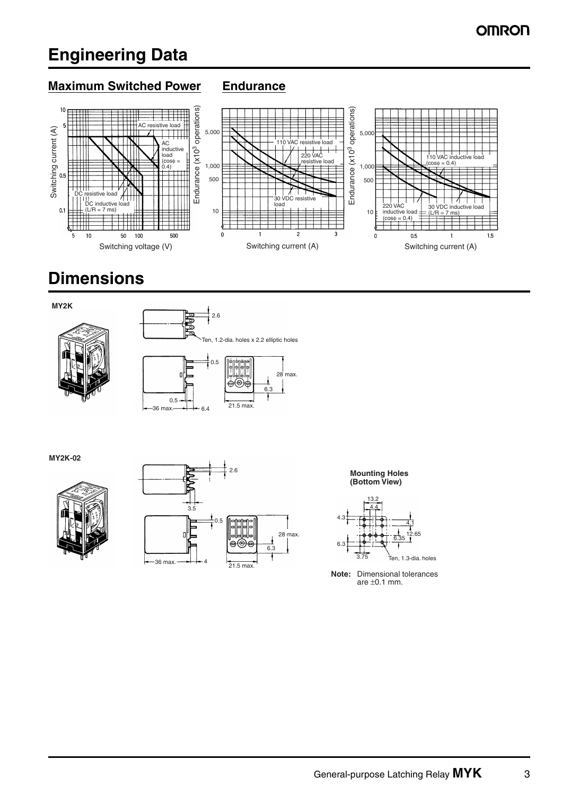## **Engineering Data**

#### **Maximum Switched Power Endurance**



## **Dimensions**

**MY2K**





**MY2K-02**





**Mounting Holes (Bottom View)**



**Note:** Dimensional tolerances are  $\pm 0.1$  mm.